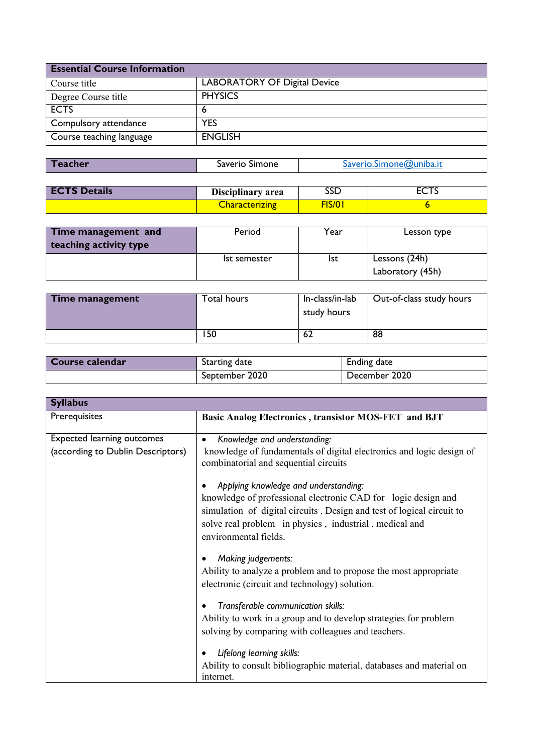| <b>Essential Course Information</b> |                              |
|-------------------------------------|------------------------------|
| Course title                        | LABORATORY OF Digital Device |
| Degree Course title                 | <b>PHYSICS</b>               |
| <b>ECTS</b>                         | ь                            |
| Compulsory attendance               | <b>YES</b>                   |
| Course teaching language            | <b>ENGLISH</b>               |

| f eacher | Saverio Simone | Saverio.Simone@uniba.it |
|----------|----------------|-------------------------|

| <b>ECTS Details</b> | Disciplinary area     | <b>SSD</b> | ᇊᇅ |
|---------------------|-----------------------|------------|----|
|                     | <u>Characterizing</u> | 5/0        |    |

| Time management and<br>teaching activity type | Period       | Year | Lesson type                       |
|-----------------------------------------------|--------------|------|-----------------------------------|
|                                               | Ist semester | lst  | Lessons (24h)<br>Laboratory (45h) |

| Time management | Total hours | In-class/in-lab<br>study hours | Out-of-class study hours |
|-----------------|-------------|--------------------------------|--------------------------|
|                 | '50         | -62                            | 88                       |

| Course calendar | Starting date  | Ending date   |
|-----------------|----------------|---------------|
|                 | September 2020 | December 2020 |

| <b>Syllabus</b>                   |                                                                                                               |
|-----------------------------------|---------------------------------------------------------------------------------------------------------------|
| Prerequisites                     | <b>Basic Analog Electronics, transistor MOS-FET and BJT</b>                                                   |
| <b>Expected learning outcomes</b> | Knowledge and understanding:                                                                                  |
| (according to Dublin Descriptors) | knowledge of fundamentals of digital electronics and logic design of<br>combinatorial and sequential circuits |
|                                   | Applying knowledge and understanding:                                                                         |
|                                   | knowledge of professional electronic CAD for logic design and                                                 |
|                                   | simulation of digital circuits. Design and test of logical circuit to                                         |
|                                   | solve real problem in physics, industrial, medical and                                                        |
|                                   | environmental fields.                                                                                         |
|                                   | Making judgements:                                                                                            |
|                                   | Ability to analyze a problem and to propose the most appropriate                                              |
|                                   | electronic (circuit and technology) solution.                                                                 |
|                                   | Transferable communication skills:                                                                            |
|                                   | Ability to work in a group and to develop strategies for problem                                              |
|                                   | solving by comparing with colleagues and teachers.                                                            |
|                                   | Lifelong learning skills:                                                                                     |
|                                   | Ability to consult bibliographic material, databases and material on                                          |
|                                   | internet.                                                                                                     |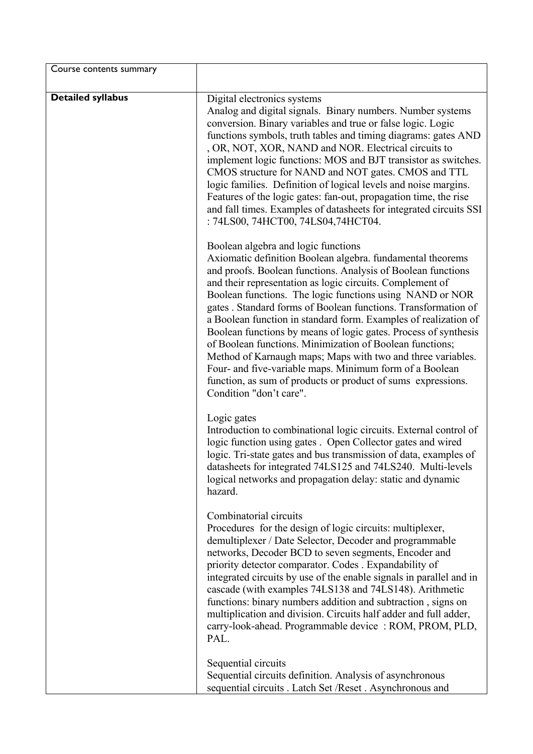| Course contents summary  |                                                                                                                                                                                                                                                                                                                                                                                                                                                                                                                                                                                                                                                                                                                                                                                     |
|--------------------------|-------------------------------------------------------------------------------------------------------------------------------------------------------------------------------------------------------------------------------------------------------------------------------------------------------------------------------------------------------------------------------------------------------------------------------------------------------------------------------------------------------------------------------------------------------------------------------------------------------------------------------------------------------------------------------------------------------------------------------------------------------------------------------------|
| <b>Detailed syllabus</b> | Digital electronics systems<br>Analog and digital signals. Binary numbers. Number systems<br>conversion. Binary variables and true or false logic. Logic<br>functions symbols, truth tables and timing diagrams: gates AND<br>, OR, NOT, XOR, NAND and NOR. Electrical circuits to<br>implement logic functions: MOS and BJT transistor as switches.<br>CMOS structure for NAND and NOT gates. CMOS and TTL<br>logic families. Definition of logical levels and noise margins.<br>Features of the logic gates: fan-out, propagation time, the rise<br>and fall times. Examples of datasheets for integrated circuits SSI<br>: 74LS00, 74HCT00, 74LS04,74HCT04.                                                                                                                      |
|                          | Boolean algebra and logic functions<br>Axiomatic definition Boolean algebra. fundamental theorems<br>and proofs. Boolean functions. Analysis of Boolean functions<br>and their representation as logic circuits. Complement of<br>Boolean functions. The logic functions using NAND or NOR<br>gates . Standard forms of Boolean functions. Transformation of<br>a Boolean function in standard form. Examples of realization of<br>Boolean functions by means of logic gates. Process of synthesis<br>of Boolean functions. Minimization of Boolean functions;<br>Method of Karnaugh maps; Maps with two and three variables.<br>Four- and five-variable maps. Minimum form of a Boolean<br>function, as sum of products or product of sums expressions.<br>Condition "don't care". |
|                          | Logic gates<br>Introduction to combinational logic circuits. External control of<br>logic function using gates . Open Collector gates and wired<br>logic. Tri-state gates and bus transmission of data, examples of<br>datasheets for integrated 74LS125 and 74LS240. Multi-levels<br>logical networks and propagation delay: static and dynamic<br>hazard.                                                                                                                                                                                                                                                                                                                                                                                                                         |
|                          | Combinatorial circuits<br>Procedures for the design of logic circuits: multiplexer,<br>demultiplexer / Date Selector, Decoder and programmable<br>networks, Decoder BCD to seven segments, Encoder and<br>priority detector comparator. Codes . Expandability of<br>integrated circuits by use of the enable signals in parallel and in<br>cascade (with examples 74LS138 and 74LS148). Arithmetic<br>functions: binary numbers addition and subtraction, signs on<br>multiplication and division. Circuits half adder and full adder,<br>carry-look-ahead. Programmable device: ROM, PROM, PLD,<br>PAL.                                                                                                                                                                            |
|                          | Sequential circuits<br>Sequential circuits definition. Analysis of asynchronous<br>sequential circuits . Latch Set /Reset . Asynchronous and                                                                                                                                                                                                                                                                                                                                                                                                                                                                                                                                                                                                                                        |